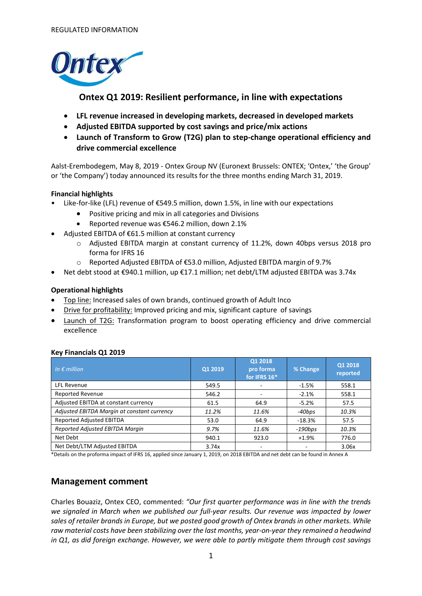

# **Ontex Q1 2019: Resilient performance, in line with expectations**

- **LFL revenue increased in developing markets, decreased in developed markets**
- **Adjusted EBITDA supported by cost savings and price/mix actions**
- **Launch of Transform to Grow (T2G) plan to step-change operational efficiency and drive commercial excellence**

Aalst-Erembodegem, May 8, 2019 - Ontex Group NV (Euronext Brussels: ONTEX; 'Ontex,' 'the Group' or 'the Company') today announced its results for the three months ending March 31, 2019.

### **Financial highlights**

- Like-for-like (LFL) revenue of €549.5 million, down 1.5%, in line with our expectations
	- Positive pricing and mix in all categories and Divisions
	- Reported revenue was €546.2 million, down 2.1%
- Adjusted EBITDA of €61.5 million at constant currency
	- o Adjusted EBITDA margin at constant currency of 11.2%, down 40bps versus 2018 pro forma for IFRS 16
	- o Reported Adjusted EBITDA of €53.0 million, Adjusted EBITDA margin of 9.7%
- Net debt stood at €940.1 million, up €17.1 million; net debt/LTM adjusted EBITDA was 3.74x

### **Operational highlights**

- Top line: Increased sales of own brands, continued growth of Adult Inco
- Drive for profitability: Improved pricing and mix, significant capture of savings
- Launch of T2G: Transformation program to boost operating efficiency and drive commercial excellence

| In $\epsilon$ million                       | Q1 2019 | Q1 2018<br>pro forma<br>for IFRS 16* | % Change   | Q1 2018<br>reported |
|---------------------------------------------|---------|--------------------------------------|------------|---------------------|
| <b>LFL Revenue</b>                          | 549.5   |                                      | $-1.5%$    | 558.1               |
| <b>Reported Revenue</b>                     | 546.2   |                                      | $-2.1%$    | 558.1               |
| Adjusted EBITDA at constant currency        | 61.5    | 64.9                                 | $-5.2%$    | 57.5                |
| Adjusted EBITDA Margin at constant currency | 11.2%   | 11.6%                                | -40bps     | 10.3%               |
| Reported Adjusted EBITDA                    | 53.0    | 64.9                                 | $-18.3%$   | 57.5                |
| Reported Adjusted EBITDA Margin             | 9.7%    | 11.6%                                | $-190$ bps | 10.3%               |
| Net Debt                                    | 940.1   | 923.0                                | $+1.9%$    | 776.0               |
| Net Debt/LTM Adjusted EBITDA                | 3.74x   |                                      |            | 3.06x               |

### **Key Financials Q1 2019**

\*Details on the proforma impact of IFRS 16, applied since January 1, 2019, on 2018 EBITDA and net debt can be found in Annex A

# **Management comment**

Charles Bouaziz, Ontex CEO, commented: *"Our first quarter performance was in line with the trends we signaled in March when we published our full-year results. Our revenue was impacted by lower sales of retailer brands in Europe, but we posted good growth of Ontex brands in other markets. While raw material costs have been stabilizing over the last months, year-on-year they remained a headwind in Q1, as did foreign exchange. However, we were able to partly mitigate them through cost savings*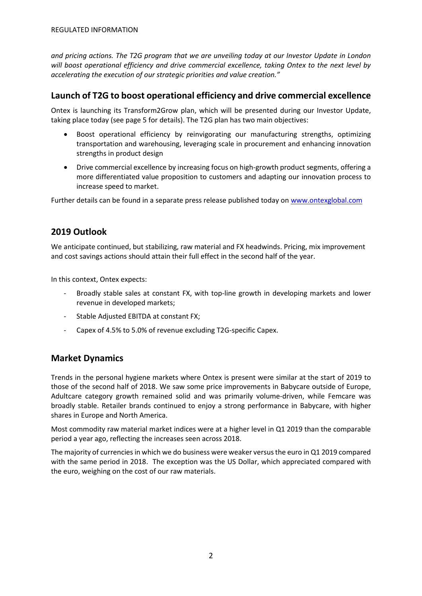*and pricing actions. The T2G program that we are unveiling today at our Investor Update in London will boost operational efficiency and drive commercial excellence, taking Ontex to the next level by accelerating the execution of our strategic priorities and value creation."* 

## **Launch of T2G to boost operational efficiency and drive commercial excellence**

Ontex is launching its Transform2Grow plan, which will be presented during our Investor Update, taking place today (see page 5 for details). The T2G plan has two main objectives:

- Boost operational efficiency by reinvigorating our manufacturing strengths, optimizing transportation and warehousing, leveraging scale in procurement and enhancing innovation strengths in product design
- Drive commercial excellence by increasing focus on high-growth product segments, offering a more differentiated value proposition to customers and adapting our innovation process to increase speed to market.

Further details can be found in a separate press release published today on [www.ontexglobal.com](http://www.ontexglobal.com/)

## **2019 Outlook**

We anticipate continued, but stabilizing, raw material and FX headwinds. Pricing, mix improvement and cost savings actions should attain their full effect in the second half of the year.

In this context, Ontex expects:

- Broadly stable sales at constant FX, with top-line growth in developing markets and lower revenue in developed markets;
- Stable Adjusted EBITDA at constant FX;
- Capex of 4.5% to 5.0% of revenue excluding T2G-specific Capex.

## **Market Dynamics**

Trends in the personal hygiene markets where Ontex is present were similar at the start of 2019 to those of the second half of 2018. We saw some price improvements in Babycare outside of Europe, Adultcare category growth remained solid and was primarily volume-driven, while Femcare was broadly stable. Retailer brands continued to enjoy a strong performance in Babycare, with higher shares in Europe and North America.

Most commodity raw material market indices were at a higher level in Q1 2019 than the comparable period a year ago, reflecting the increases seen across 2018.

The majority of currencies in which we do business were weaker versus the euro in Q1 2019 compared with the same period in 2018. The exception was the US Dollar, which appreciated compared with the euro, weighing on the cost of our raw materials.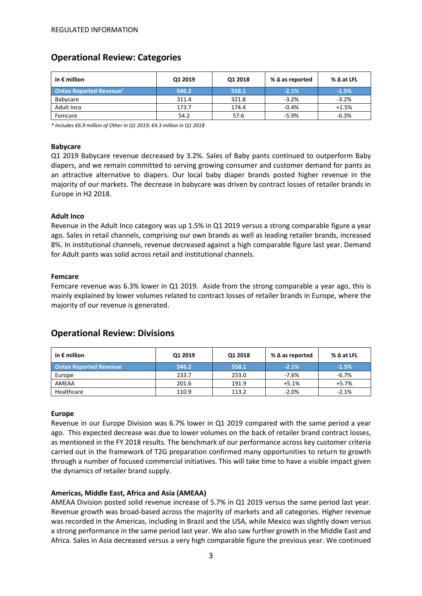# **Operational Review: Categories**

| in $\epsilon$ million           | Q1 2019 | Q1 2018 | % $\Delta$ as reported | $\%$ $\Delta$ at LFL |
|---------------------------------|---------|---------|------------------------|----------------------|
| <b>Ontex Reported Revenue</b> * | 546.2   | 558.1   | $-2.1%$                | $-1.5%$              |
| Babycare                        | 311.4   | 321.8   | $-3.2%$                | $-3.2%$              |
| Adult Inco                      | 173.7   | 174.4   | $-0.4%$                | $+1.5%$              |
| Femcare                         | 54.2    | 57.6    | $-5.9%$                | $-6.3%$              |

*\* Includes €6.9 million of Other in Q1 2019; €4.3 million in Q1 2018*

### **Babycare**

Q1 2019 Babycare revenue decreased by 3.2%. Sales of Baby pants continued to outperform Baby diapers, and we remain committed to serving growing consumer and customer demand for pants as an attractive alternative to diapers. Our local baby diaper brands posted higher revenue in the majority of our markets. The decrease in babycare was driven by contract losses of retailer brands in Europe in H2 2018.

### **Adult Inco**

Revenue in the Adult Inco category was up 1.5% in Q1 2019 versus a strong comparable figure a year ago. Sales in retail channels, comprising our own brands as well as leading retailer brands, increased 8%. In institutional channels, revenue decreased against a high comparable figure last year. Demand for Adult pants was solid across retail and institutional channels.

### **Femcare**

Femcare revenue was 6.3% lower in Q1 2019. Aside from the strong comparable a year ago, this is mainly explained by lower volumes related to contract losses of retailer brands in Europe, where the majority of our revenue is generated.

# **Operational Review: Divisions**

| in $\epsilon$ million         | Q1 2019 | Q1 2018 | % $\Delta$ as reported | $\%$ $\Delta$ at LFL |  |
|-------------------------------|---------|---------|------------------------|----------------------|--|
| <b>Ontex Reported Revenue</b> | 546.2   | 558.1   | $-2.1%$                | $-1.5%$              |  |
| Europe                        | 233.7   | 253.0   | $-7.6%$                | $-6.7%$              |  |
| AMEAA                         | 201.6   | 191.9   | $+5.1%$                | $+5.7%$              |  |
| Healthcare                    | 110.9   | 113.2   | $-2.0%$                | $-2.1%$              |  |

### **Europe**

Revenue in our Europe Division was 6.7% lower in Q1 2019 compared with the same period a year ago. This expected decrease was due to lower volumes on the back of retailer brand contract losses, as mentioned in the FY 2018 results. The benchmark of our performance across key customer criteria carried out in the framework of T2G preparation confirmed many opportunities to return to growth through a number of focused commercial initiatives. This will take time to have a visible impact given the dynamics of retailer brand supply.

### **Americas, Middle East, Africa and Asia (AMEAA)**

AMEAA Division posted solid revenue increase of 5.7% in Q1 2019 versus the same period last year. Revenue growth was broad-based across the majority of markets and all categories. Higher revenue was recorded in the Americas, including in Brazil and the USA, while Mexico was slightly down versus a strong performance in the same period last year. We also saw further growth in the Middle East and Africa. Sales in Asia decreased versus a very high comparable figure the previous year. We continued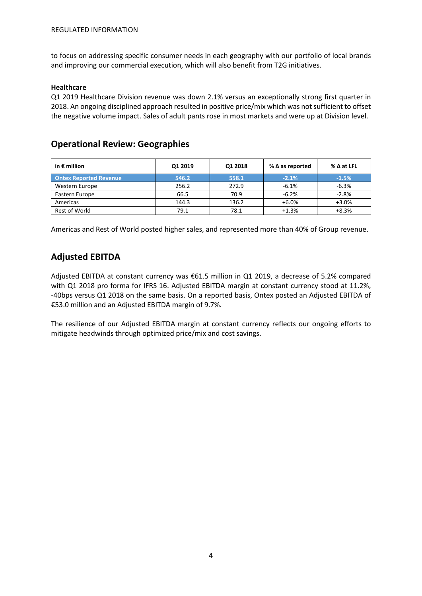to focus on addressing specific consumer needs in each geography with our portfolio of local brands and improving our commercial execution, which will also benefit from T2G initiatives.

#### **Healthcare**

Q1 2019 Healthcare Division revenue was down 2.1% versus an exceptionally strong first quarter in 2018. An ongoing disciplined approach resulted in positive price/mix which was not sufficient to offset the negative volume impact. Sales of adult pants rose in most markets and were up at Division level.

## **Operational Review: Geographies**

| in $\epsilon$ million         | Q1 2019 | Q1 2018 | % $\Delta$ as reported | $\%$ $\Delta$ at LFL |  |
|-------------------------------|---------|---------|------------------------|----------------------|--|
| <b>Ontex Reported Revenue</b> | 546.2   | 558.1   | $-2.1%$                | $-1.5%$              |  |
| Western Europe                | 256.2   | 272.9   | $-6.1%$                | $-6.3%$              |  |
| Eastern Europe                | 66.5    | 70.9    | $-6.2%$                | $-2.8%$              |  |
| Americas                      | 144.3   | 136.2   | $+6.0%$                | $+3.0%$              |  |
| Rest of World                 | 79.1    | 78.1    | $+1.3%$                | $+8.3%$              |  |

Americas and Rest of World posted higher sales, and represented more than 40% of Group revenue.

## **Adjusted EBITDA**

Adjusted EBITDA at constant currency was €61.5 million in Q1 2019, a decrease of 5.2% compared with Q1 2018 pro forma for IFRS 16. Adjusted EBITDA margin at constant currency stood at 11.2%, -40bps versus Q1 2018 on the same basis. On a reported basis, Ontex posted an Adjusted EBITDA of €53.0 million and an Adjusted EBITDA margin of 9.7%.

The resilience of our Adjusted EBITDA margin at constant currency reflects our ongoing efforts to mitigate headwinds through optimized price/mix and cost savings.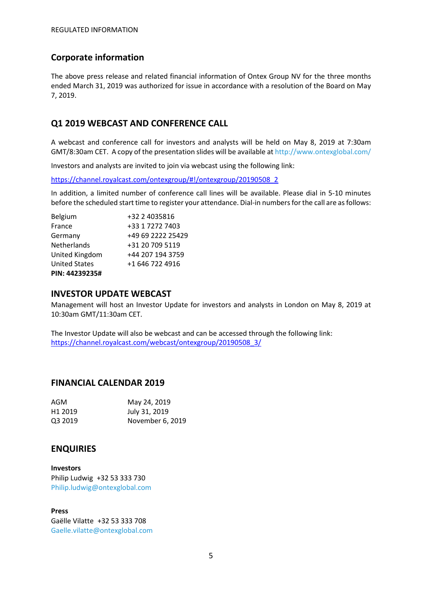# **Corporate information**

The above press release and related financial information of Ontex Group NV for the three months ended March 31, 2019 was authorized for issue in accordance with a resolution of the Board on May 7, 2019.

# **Q1 2019 WEBCAST AND CONFERENCE CALL**

A webcast and conference call for investors and analysts will be held on May 8, 2019 at 7:30am GMT/8:30am CET. A copy of the presentation slides will be available at http://www.ontexglobal.com/

Investors and analysts are invited to join via webcast using the following link:

[https://channel.royalcast.com/ontexgroup/#!/ontexgroup/20190508\\_2](https://channel.royalcast.com/ontexgroup/#!/ontexgroup/20190508_2)

In addition, a limited number of conference call lines will be available. Please dial in 5-10 minutes before the scheduled start time to register your attendance. Dial-in numbers for the call are as follows:

| Belgium              | +32 2 4035816     |
|----------------------|-------------------|
| France               | +33 1 7272 7403   |
| Germany              | +49 69 2222 25429 |
| Netherlands          | +31 20 709 5119   |
| United Kingdom       | +44 207 194 3759  |
| <b>United States</b> | +1 646 722 4916   |
| PIN: 44239235#       |                   |

### **INVESTOR UPDATE WEBCAST**

Management will host an Investor Update for investors and analysts in London on May 8, 2019 at 10:30am GMT/11:30am CET.

The Investor Update will also be webcast and can be accessed through the following link: [https://channel.royalcast.com/webcast/ontexgroup/20190508\\_3/](https://channel.royalcast.com/webcast/ontexgroup/20190508_3/)

## **FINANCIAL CALENDAR 2019**

| AGM                 | May 24, 2019     |
|---------------------|------------------|
| H <sub>1</sub> 2019 | July 31, 2019    |
| Q3 2019             | November 6, 2019 |

## **ENQUIRIES**

**Investors** Philip Ludwig +32 53 333 730 Philip.ludwig@ontexglobal.com

**Press** Gaëlle Vilatte +32 53 333 708 Gaelle.vilatte@ontexglobal.com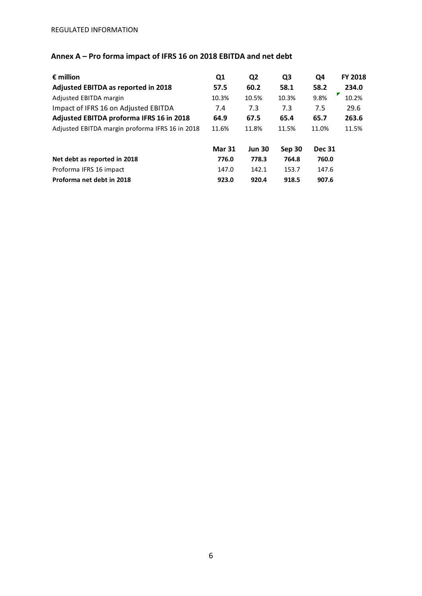# **Annex A – Pro forma impact of IFRS 16 on 2018 EBITDA and net debt**

| $\epsilon$ million                              | Q1            | Q <sub>2</sub> | Q <sub>3</sub> | Q4            | <b>FY 2018</b> |
|-------------------------------------------------|---------------|----------------|----------------|---------------|----------------|
| Adjusted EBITDA as reported in 2018             | 57.5          | 60.2           | 58.1           | 58.2          | 234.0          |
| Adjusted EBITDA margin                          | 10.3%         | 10.5%          | 10.3%          | 9.8%          | 10.2%          |
| Impact of IFRS 16 on Adjusted EBITDA            | 7.4           | 7.3            | 7.3            | 7.5           | 29.6           |
| Adjusted EBITDA proforma IFRS 16 in 2018        | 64.9          | 67.5           | 65.4           | 65.7          | 263.6          |
| Adjusted EBITDA margin proforma IFRS 16 in 2018 | 11.6%         | 11.8%          | 11.5%          | 11.0%         | 11.5%          |
|                                                 | <b>Mar 31</b> | <b>Jun 30</b>  | <b>Sep 30</b>  | <b>Dec 31</b> |                |
| Net debt as reported in 2018                    | 776.0         | 778.3          | 764.8          | 760.0         |                |
| Proforma IFRS 16 impact                         | 147.0         | 142.1          | 153.7          | 147.6         |                |
| Proforma net debt in 2018                       | 923.0         | 920.4          | 918.5          | 907.6         |                |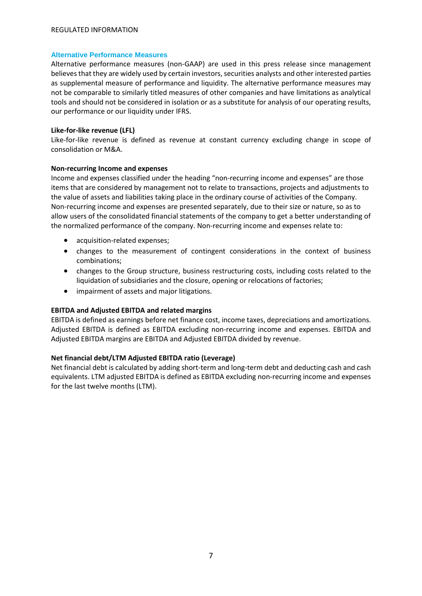#### REGULATED INFORMATION

#### **Alternative Performance Measures**

Alternative performance measures (non-GAAP) are used in this press release since management believes that they are widely used by certain investors, securities analysts and other interested parties as supplemental measure of performance and liquidity. The alternative performance measures may not be comparable to similarly titled measures of other companies and have limitations as analytical tools and should not be considered in isolation or as a substitute for analysis of our operating results, our performance or our liquidity under IFRS.

#### **Like-for-like revenue (LFL)**

Like-for-like revenue is defined as revenue at constant currency excluding change in scope of consolidation or M&A.

#### **Non-recurring Income and expenses**

Income and expenses classified under the heading "non-recurring income and expenses" are those items that are considered by management not to relate to transactions, projects and adjustments to the value of assets and liabilities taking place in the ordinary course of activities of the Company. Non-recurring income and expenses are presented separately, due to their size or nature, so as to allow users of the consolidated financial statements of the company to get a better understanding of the normalized performance of the company. Non-recurring income and expenses relate to:

- acquisition-related expenses;
- changes to the measurement of contingent considerations in the context of business combinations;
- changes to the Group structure, business restructuring costs, including costs related to the liquidation of subsidiaries and the closure, opening or relocations of factories;
- impairment of assets and major litigations.

### **EBITDA and Adjusted EBITDA and related margins**

EBITDA is defined as earnings before net finance cost, income taxes, depreciations and amortizations. Adjusted EBITDA is defined as EBITDA excluding non-recurring income and expenses. EBITDA and Adjusted EBITDA margins are EBITDA and Adjusted EBITDA divided by revenue.

### **Net financial debt/LTM Adjusted EBITDA ratio (Leverage)**

Net financial debt is calculated by adding short-term and long-term debt and deducting cash and cash equivalents. LTM adjusted EBITDA is defined as EBITDA excluding non-recurring income and expenses for the last twelve months (LTM).